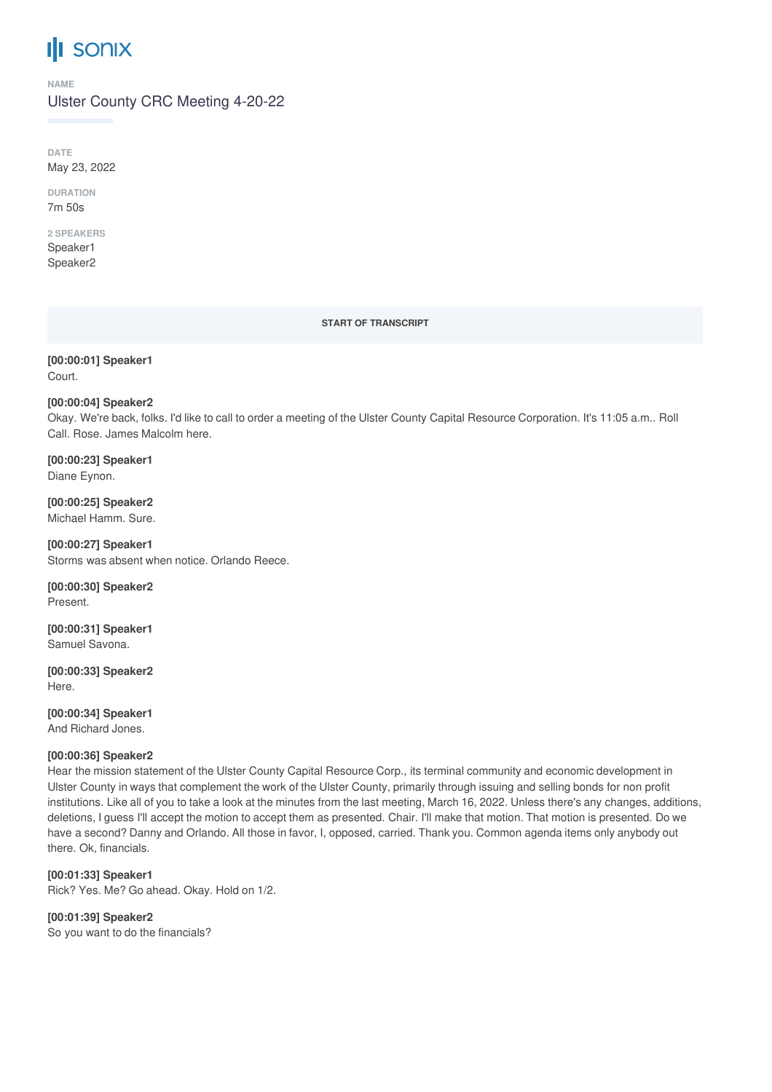# **III** sonix

#### **NAME**

Ulster County CRC Meeting 4-20-22

**DATE** May 23, 2022

**DURATION** 7m 50s

## **2 SPEAKERS**

Speaker1 Speaker2

#### **START OF TRANSCRIPT**

**[00:00:01] Speaker1** Court.

## **[00:00:04] Speaker2**

Okay. We're back, folks. I'd like to call to order a meeting of the Ulster County Capital Resource Corporation. It's 11:05 a.m.. Roll Call. Rose. James Malcolm here.

**[00:00:23] Speaker1** Diane Eynon.

**[00:00:25] Speaker2** Michael Hamm. Sure.

**[00:00:27] Speaker1** Storms was absent when notice. Orlando Reece.

**[00:00:30] Speaker2** Present.

**[00:00:31] Speaker1** Samuel Savona.

**[00:00:33] Speaker2** Here.

**[00:00:34] Speaker1** And Richard Jones.

## **[00:00:36] Speaker2**

Hear the mission statement of the Ulster County Capital Resource Corp., its terminal community and economic development in Ulster County in ways that complement the work of the Ulster County, primarily through issuing and selling bonds for non profit institutions. Like all of you to take a look at the minutes from the last meeting, March 16, 2022. Unless there's any changes, additions, deletions, I guess I'll accept the motion to accept them as presented. Chair. I'll make that motion. That motion is presented. Do we have a second? Danny and Orlando. All those in favor, I, opposed, carried. Thank you. Common agenda items only anybody out there. Ok, financials.

**[00:01:33] Speaker1** Rick? Yes. Me? Go ahead. Okay. Hold on 1/2.

**[00:01:39] Speaker2** So you want to do the financials?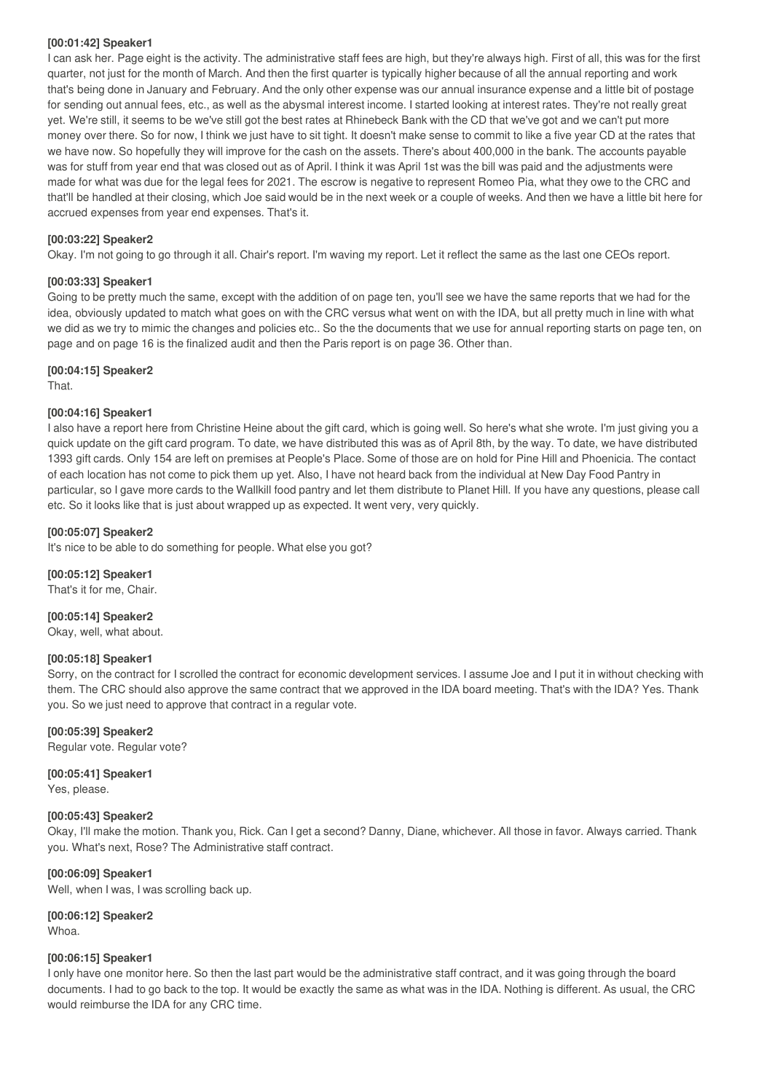## **[00:01:42] Speaker1**

I can ask her. Page eight is the activity. The administrative staff fees are high, but they're always high. First of all, this was for the first quarter, not just for the month of March. And then the first quarter is typically higher because of all the annual reporting and work that's being done in January and February. And the only other expense was our annual insurance expense and a little bit of postage for sending out annual fees, etc., as well as the abysmal interest income. I started looking at interest rates. They're not really great yet. We're still, it seems to be we've still got the best rates at Rhinebeck Bank with the CD that we've got and we can't put more money over there. So for now, I think we just have to sit tight. It doesn't make sense to commit to like a five year CD at the rates that we have now. So hopefully they will improve for the cash on the assets. There's about 400,000 in the bank. The accounts payable was for stuff from year end that was closed out as of April. I think it was April 1st was the bill was paid and the adjustments were made for what was due for the legal fees for 2021. The escrow is negative to represent Romeo Pia, what they owe to the CRC and that'll be handled at their closing, which Joe said would be in the next week or a couple of weeks. And then we have a little bit here for accrued expenses from year end expenses. That's it.

## **[00:03:22] Speaker2**

Okay. I'm not going to go through it all. Chair's report. I'm waving my report. Let it reflect the same as the last one CEOs report.

## **[00:03:33] Speaker1**

Going to be pretty much the same, except with the addition of on page ten, you'll see we have the same reports that we had for the idea, obviously updated to match what goes on with the CRC versus what went on with the IDA, but all pretty much in line with what we did as we try to mimic the changes and policies etc.. So the the documents that we use for annual reporting starts on page ten, on page and on page 16 is the finalized audit and then the Paris report is on page 36. Other than.

## **[00:04:15] Speaker2**

That.

## **[00:04:16] Speaker1**

I also have a report here from Christine Heine about the gift card, which is going well. So here's what she wrote. I'm just giving you a quick update on the gift card program. To date, we have distributed this was as of April 8th, by the way. To date, we have distributed 1393 gift cards. Only 154 are left on premises at People's Place. Some of those are on hold for Pine Hill and Phoenicia. The contact of each location has not come to pick them up yet. Also, I have not heard back from the individual at New Day Food Pantry in particular, so I gave more cards to the Wallkill food pantry and let them distribute to Planet Hill. If you have any questions, please call etc. So it looks like that is just about wrapped up as expected. It went very, very quickly.

## **[00:05:07] Speaker2**

It's nice to be able to do something for people. What else you got?

## **[00:05:12] Speaker1**

That's it for me, Chair.

## **[00:05:14] Speaker2**

Okay, well, what about.

## **[00:05:18] Speaker1**

Sorry, on the contract for I scrolled the contract for economic development services. I assume Joe and I put it in without checking with them. The CRC should also approve the same contract that we approved in the IDA board meeting. That's with the IDA? Yes. Thank you. So we just need to approve that contract in a regular vote.

## **[00:05:39] Speaker2**

Regular vote. Regular vote?

## **[00:05:41] Speaker1**

Yes, please.

## **[00:05:43] Speaker2**

Okay, I'll make the motion. Thank you, Rick. Can I get a second? Danny, Diane, whichever. All those in favor. Always carried. Thank you. What's next, Rose? The Administrative staff contract.

## **[00:06:09] Speaker1**

Well, when I was, I was scrolling back up.

**[00:06:12] Speaker2** Whoa.

## **[00:06:15] Speaker1**

I only have one monitor here. So then the last part would be the administrative staff contract, and it was going through the board documents. I had to go back to the top. It would be exactly the same as what was in the IDA. Nothing is different. As usual, the CRC would reimburse the IDA for any CRC time.